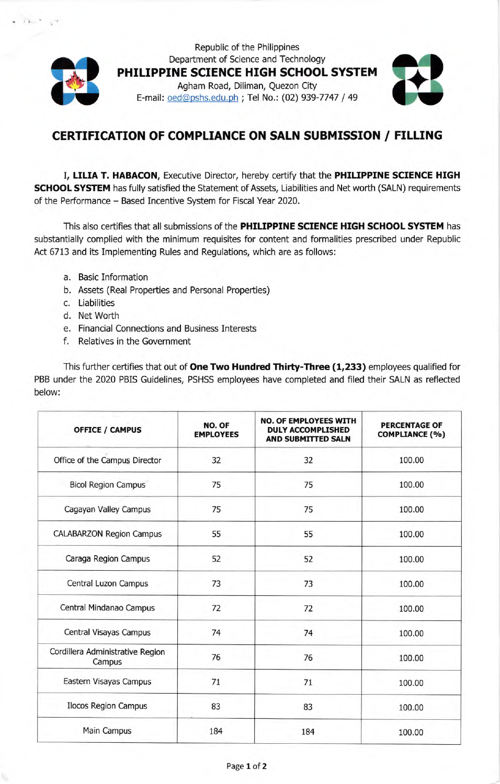

Republic of the Philippines Department of Science and Technology PHILIPPINE SCIENCE HIGH SCHOOL SYSTEM Agham Road, Diliman, Quezon City E-mail: oed@pshs.edu.ph ; Tel No.: (02) 939-7747 / 49



## CERTTFTCATTON OF COMPLIANCE ON SALN SUBMISSION / FTLLING

I, LILIA T. HABACON, Executive Director, hereby certify that the PHILIPPINE SCIENCE HIGH SCHOOL SYSTEM has fully satisfied the Statement of Assets, Liabilities and Net worth (SALN) requirements of the Performance - Based Incentive System for Fiscal Year 2020.

This also certifies that all submissions of the PHILIPPINE SCIENCE HIGH SCHOOL SYSTEM has substantially complied with the minimum requisites for content and formalities prescribed under Republic Act 6713 and its Implementing Rules and Regulations, which are as follows:

- a. Basic Information
- b. Assets (Real Properties and Personal Properties)
- c. Liabilities
- d. Net Worth
- e. Financial Connections and Business Interests
- <sup>f</sup>. Relatives in the Government

This further certifies that out of One Two Hundred Thirty-Three (1,233) employees qualified for PBB under the 2020 PBIS Guidelines, PSHSS employees have completed and filed their SALN as reflected below:

| <b>OFFICE / CAMPUS</b>                     | NO. OF<br><b>EMPLOYEES</b> | <b>NO. OF EMPLOYEES WITH</b><br><b>DULY ACCOMPLISHED</b><br><b>AND SUBMITTED SALN</b> | <b>PERCENTAGE OF</b><br><b>COMPLIANCE (%)</b> |
|--------------------------------------------|----------------------------|---------------------------------------------------------------------------------------|-----------------------------------------------|
| Office of the Campus Director              | 32                         | 32                                                                                    | 100.00                                        |
| <b>Bicol Region Campus</b>                 | 75                         | 75                                                                                    | 100.00                                        |
| Cagayan Valley Campus                      | 75                         | 75                                                                                    | 100.00                                        |
| <b>CALABARZON Region Campus</b>            | 55                         | 55                                                                                    | 100.00                                        |
| Caraga Region Campus                       | 52                         | 52                                                                                    | 100.00                                        |
| Central Luzon Campus                       | 73                         | 73                                                                                    | 100.00                                        |
| Central Mindanao Campus                    | 72                         | 72                                                                                    | 100.00                                        |
| Central Visayas Campus                     | 74                         | 74                                                                                    | 100.00                                        |
| Cordillera Administrative Region<br>Campus | 76                         | 76                                                                                    | 100.00                                        |
| Eastern Visayas Campus                     | 71                         | 71                                                                                    | 100.00                                        |
| <b>Ilocos Region Campus</b>                | 83                         | 83                                                                                    | 100.00                                        |
| Main Campus                                | 184                        | 184                                                                                   | 100.00                                        |